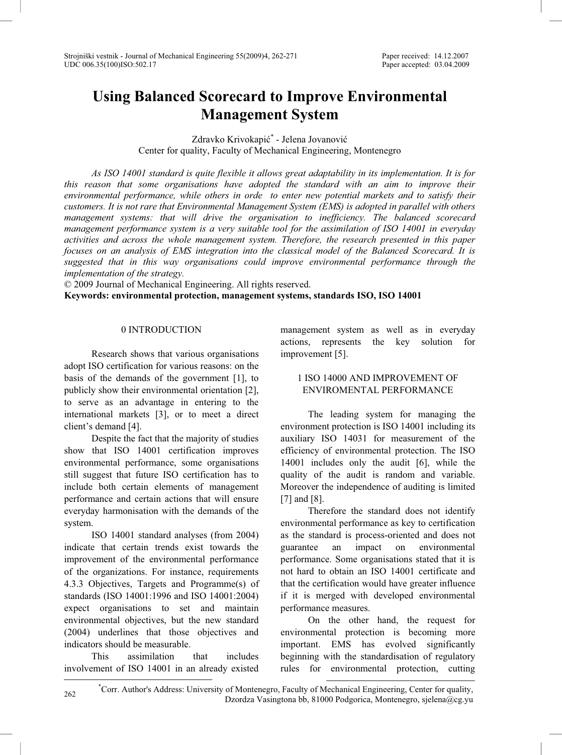# **Using Balanced Scorecard to Improve Environmental Management System**

Zdravko Krivokapić<sup>\*</sup> - Jelena Jovanović Center for quality, Faculty of Mechanical Engineering, Montenegro

*As ISO 14001 standard is quite flexible it allows great adaptability in its implementation. It is for this reason that some organisations have adopted the standard with an aim to improve their environmental performance, while others in orde to enter new potential markets and to satisfy their customers. It is not rare that Environmental Management System (EMS) is adopted in parallel with others management systems: that will drive the organisation to inefficiency. The balanced scorecard management performance system is a very suitable tool for the assimilation of ISO 14001 in everyday activities and across the whole management system. Therefore, the research presented in this paper focuses on an analysis of EMS integration into the classical model of the Balanced Scorecard. It is suggested that in this way organisations could improve environmental performance through the implementation of the strategy.* 

© 2009 Journal of Mechanical Engineering. All rights reserved.

**Keywords: environmental protection, management systems, standards ISO, ISO 14001** 

## 0 INTRODUCTION

Research shows that various organisations adopt ISO certification for various reasons: on the basis of the demands of the government [1], to publicly show their environmental orientation [2], to serve as an advantage in entering to the international markets [3], or to meet a direct client's demand [4].

Despite the fact that the majority of studies show that ISO 14001 certification improves environmental performance, some organisations still suggest that future ISO certification has to include both certain elements of management performance and certain actions that will ensure everyday harmonisation with the demands of the system.

ISO 14001 standard analyses (from 2004) indicate that certain trends exist towards the improvement of the environmental performance of the organizations. For instance, requirements 4.3.3 Objectives, Targets and Programme(s) of standards (ISO 14001:1996 and ISO 14001:2004) expect organisations to set and maintain environmental objectives, but the new standard (2004) underlines that those objectives and indicators should be measurable.

This assimilation that includes involvement of ISO 14001 in an already existed management system as well as in everyday actions, represents the key solution for improvement [5].

## 1 ISO 14000 AND IMPROVEMENT OF ENVIROMENTAL PERFORMANCE

The leading system for managing the environment protection is ISO 14001 including its auxiliary ISO 14031 for measurement of the efficiency of environmental protection. The ISO 14001 includes only the audit [6], while the quality of the audit is random and variable. Moreover the independence of auditing is limited [7] and [8].

Therefore the standard does not identify environmental performance as key to certification as the standard is process-oriented and does not guarantee an impact on environmental performance. Some organisations stated that it is not hard to obtain an ISO 14001 certificate and that the certification would have greater influence if it is merged with developed environmental performance measures.

On the other hand, the request for environmental protection is becoming more important. EMS has evolved significantly beginning with the standardisation of regulatory rules for environmental protection, cutting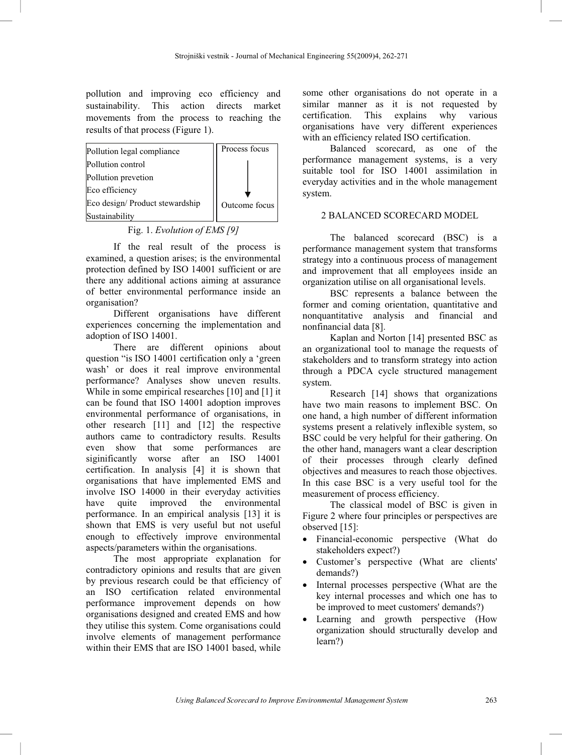pollution and improving eco efficiency and sustainability. This action directs market movements from the process to reaching the results of that process (Figure 1).

| Pollution legal compliance     | Process focus |
|--------------------------------|---------------|
| Pollution control              |               |
| Pollution prevetion            |               |
| Eco efficiency                 |               |
| Eco design/Product stewardship | Outcome focus |
| Sustainability                 |               |

## Fig. 1. *Evolution of EMS [9]*

If the real result of the process is examined, a question arises; is the environmental protection defined by ISO 14001 sufficient or are there any additional actions aiming at assurance of better environmental performance inside an organisation?

Different organisations have different experiences concerning the implementation and adoption of ISO 14001.

There are different opinions about question "is ISO 14001 certification only a 'green wash' or does it real improve environmental performance? Analyses show uneven results. While in some empirical researches [10] and [1] it can be found that ISO 14001 adoption improves environmental performance of organisations, in other research [11] and [12] the respective authors came to contradictory results. Results even show that some performances are siginificantly worse after an ISO 14001 certification. In analysis [4] it is shown that organisations that have implemented EMS and involve ISO 14000 in their everyday activities have quite improved the environmental performance. In an empirical analysis [13] it is shown that EMS is very useful but not useful enough to effectively improve environmental aspects/parameters within the organisations.

The most appropriate explanation for contradictory opinions and results that are given by previous research could be that efficiency of an ISO certification related environmental performance improvement depends on how organisations designed and created EMS and how they utilise this system. Come organisations could involve elements of management performance within their EMS that are ISO 14001 based, while

some other organisations do not operate in a similar manner as it is not requested by certification. This explains why various explains why organisations have very different experiences with an efficiency related ISO certification.

Balanced scorecard, as one of the performance management systems, is a very suitable tool for ISO 14001 assimilation in everyday activities and in the whole management system.

## 2 BALANCED SCORECARD MODEL

The balanced scorecard (BSC) is a performance management system that transforms strategy into a continuous process of management and improvement that all employees inside an organization utilise on all organisational levels.

BSC represents a balance between the former and coming orientation, quantitative and nonquantitative analysis and financial and nonfinancial data [8].

Kaplan and Norton [14] presented BSC as an organizational tool to manage the requests of stakeholders and to transform strategy into action through a PDCA cycle structured management system.

Research [14] shows that organizations have two main reasons to implement BSC. On one hand, a high number of different information systems present a relatively inflexible system, so BSC could be very helpful for their gathering. On the other hand, managers want a clear description of their processes through clearly defined objectives and measures to reach those objectives. In this case BSC is a very useful tool for the measurement of process efficiency.

The classical model of BSC is given in Figure 2 where four principles or perspectives are observed [15]:

- Financial-economic perspective (What do stakeholders expect?)
- Customer's perspective (What are clients' demands?)
- Internal processes perspective (What are the key internal processes and which one has to be improved to meet customers' demands?)
- Learning and growth perspective (How organization should structurally develop and learn?)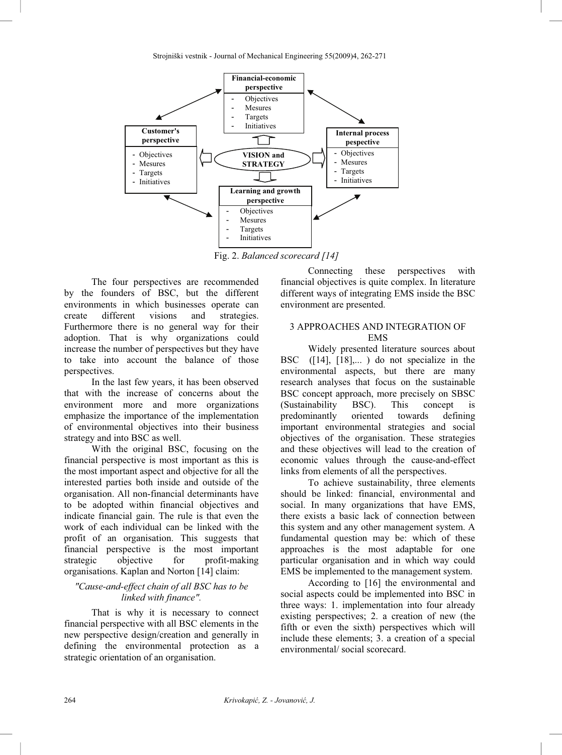

Fig. 2. *Balanced scorecard [14]* 

The four perspectives are recommended by the founders of BSC, but the different environments in which businesses operate can create different visions and strategies. Furthermore there is no general way for their adoption. That is why organizations could increase the number of perspectives but they have to take into account the balance of those perspectives.

In the last few years, it has been observed that with the increase of concerns about the environment more and more organizations emphasize the importance of the implementation of environmental objectives into their business strategy and into BSC as well.

With the original BSC, focusing on the financial perspective is most important as this is the most important aspect and objective for all the interested parties both inside and outside of the organisation. All non-financial determinants have to be adopted within financial objectives and indicate financial gain. The rule is that even the work of each individual can be linked with the profit of an organisation. This suggests that financial perspective is the most important strategic objective for profit-making organisations. Kaplan and Norton [14] claim:

## *"Cause-and-effect chain of all BSC has to be linked with finance".*

That is why it is necessary to connect financial perspective with all BSC elements in the new perspective design/creation and generally in defining the environmental protection as a strategic orientation of an organisation.

Connecting these perspectives with financial objectives is quite complex. In literature different ways of integrating EMS inside the BSC environment are presented.

## 3 APPROACHES AND INTEGRATION OF **EMS**

Widely presented literature sources about BSC ([14], [18],...) do not specialize in the environmental aspects, but there are many research analyses that focus on the sustainable BSC concept approach, more precisely on SBSC (Sustainability BSC). This concept is predominantly oriented towards defining important environmental strategies and social objectives of the organisation. These strategies and these objectives will lead to the creation of economic values through the cause-and-effect links from elements of all the perspectives.

To achieve sustainability, three elements should be linked: financial, environmental and social. In many organizations that have EMS, there exists a basic lack of connection between this system and any other management system. A fundamental question may be: which of these approaches is the most adaptable for one particular organisation and in which way could EMS be implemented to the management system.

According to [16] the environmental and social aspects could be implemented into BSC in three ways: 1. implementation into four already existing perspectives; 2. a creation of new (the fifth or even the sixth) perspectives which will include these elements; 3. a creation of a special environmental/ social scorecard.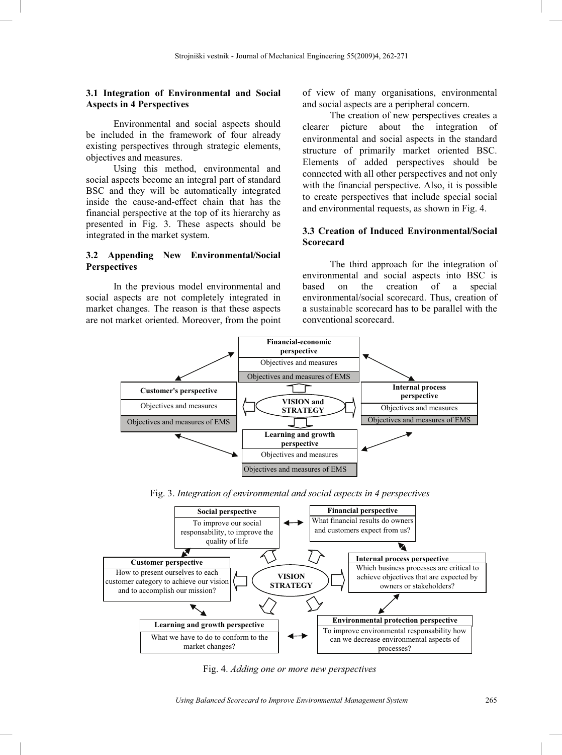#### **3.1 Integration of Environmental and Social Aspects in 4 Perspectives**

Environmental and social aspects should be included in the framework of four already existing perspectives through strategic elements, objectives and measures.

Using this method, environmental and social aspects become an integral part of standard BSC and they will be automatically integrated inside the cause-and-effect chain that has the financial perspective at the top of its hierarchy as presented in Fig. 3. These aspects should be integrated in the market system.

## **3.2 Appending New Environmental/Social Perspectives**

In the previous model environmental and social aspects are not completely integrated in market changes. The reason is that these aspects are not market oriented. Moreover, from the point of view of many organisations, environmental and social aspects are a peripheral concern.

The creation of new perspectives creates a clearer picture about the integration of environmental and social aspects in the standard structure of primarily market oriented BSC. Elements of added perspectives should be connected with all other perspectives and not only with the financial perspective. Also, it is possible to create perspectives that include special social and environmental requests, as shown in Fig. 4.

## **3.3 Creation of Induced Environmental/Social Scorecard**

The third approach for the integration of environmental and social aspects into BSC is based on the creation of a special environmental/social scorecard. Thus, creation of a sustainable scorecard has to be parallel with the conventional scorecard.



Fig. 3. *Integration of environmental and social aspects in 4 perspectives*



Fig. 4. *Adding one or more new perspectives*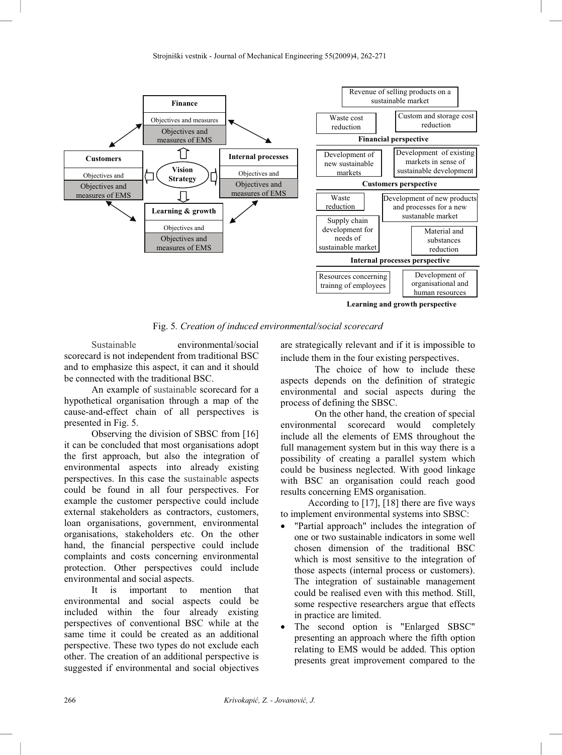

Fig. 5*. Creation of induced environmental/social scorecard*

Sustainable environmental/social scorecard is not independent from traditional BSC and to emphasize this aspect, it can and it should be connected with the traditional BSC.

An example of sustainable scorecard for a hypothetical organisation through a map of the cause-and-effect chain of all perspectives is presented in Fig. 5.

Observing the division of SBSC from [16] it can be concluded that most organisations adopt the first approach, but also the integration of environmental aspects into already existing perspectives. In this case the sustainable aspects could be found in all four perspectives. For example the customer perspective could include external stakeholders as contractors, customers, loan organisations, government, environmental organisations, stakeholders etc. On the other hand, the financial perspective could include complaints and costs concerning environmental protection. Other perspectives could include environmental and social aspects.

It is important to mention that environmental and social aspects could be included within the four already existing perspectives of conventional BSC while at the same time it could be created as an additional perspective. These two types do not exclude each other. The creation of an additional perspective is suggested if environmental and social objectives

are strategically relevant and if it is impossible to include them in the four existing perspectives.

The choice of how to include these aspects depends on the definition of strategic environmental and social aspects during the process of defining the SBSC.

On the other hand, the creation of special environmental scorecard would completely include all the elements of EMS throughout the full management system but in this way there is a possibility of creating a parallel system which could be business neglected. With good linkage with BSC an organisation could reach good results concerning EMS organisation.

According to [17], [18] there are five ways to implement environmental systems into SBSC:

- "Partial approach" includes the integration of one or two sustainable indicators in some well chosen dimension of the traditional BSC which is most sensitive to the integration of those aspects (internal process or customers). The integration of sustainable management could be realised even with this method. Still, some respective researchers argue that effects in practice are limited.
- The second option is "Enlarged SBSC" presenting an approach where the fifth option relating to EMS would be added. This option presents great improvement compared to the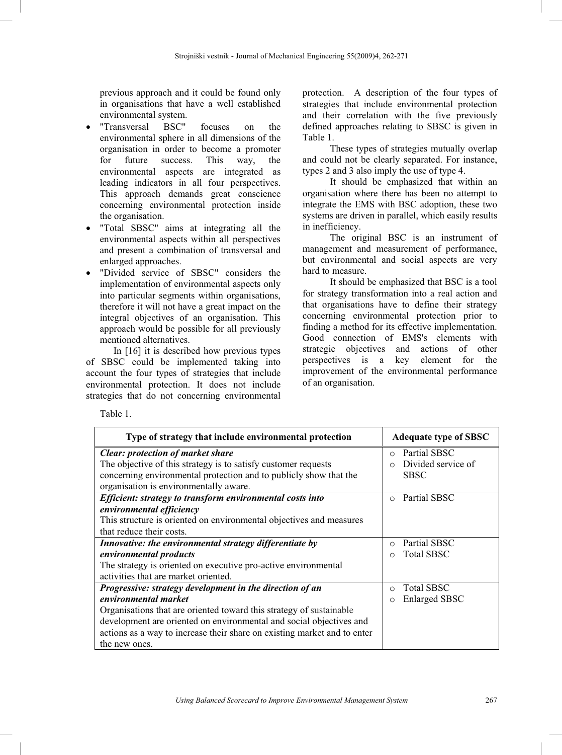previous approach and it could be found only in organisations that have a well established environmental system.

- "Transversal BSC" focuses on the environmental sphere in all dimensions of the organisation in order to become a promoter for future success. This way, the environmental aspects are integrated as leading indicators in all four perspectives. This approach demands great conscience concerning environmental protection inside the organisation.
- "Total SBSC" aims at integrating all the environmental aspects within all perspectives and present a combination of transversal and enlarged approaches.
- x "Divided service of SBSC" considers the implementation of environmental aspects only into particular segments within organisations, therefore it will not have a great impact on the integral objectives of an organisation. This approach would be possible for all previously mentioned alternatives.

In [16] it is described how previous types of SBSC could be implemented taking into account the four types of strategies that include environmental protection. It does not include strategies that do not concerning environmental protection. A description of the four types of strategies that include environmental protection and their correlation with the five previously defined approaches relating to SBSC is given in Table 1.

These types of strategies mutually overlap and could not be clearly separated. For instance, types 2 and 3 also imply the use of type 4.

It should be emphasized that within an organisation where there has been no attempt to integrate the EMS with BSC adoption, these two systems are driven in parallel, which easily results in inefficiency.

The original BSC is an instrument of management and measurement of performance, but environmental and social aspects are very hard to measure.

It should be emphasized that BSC is a tool for strategy transformation into a real action and that organisations have to define their strategy concerning environmental protection prior to finding a method for its effective implementation. Good connection of EMS's elements with strategic objectives and actions of other perspectives is a key element for the improvement of the environmental performance of an organisation.

Table 1.

| Type of strategy that include environmental protection                   | <b>Adequate type of SBSC</b>    |
|--------------------------------------------------------------------------|---------------------------------|
| <b>Clear:</b> protection of market share                                 | Partial SBSC<br>$\cap$          |
| The objective of this strategy is to satisfy customer requests           | Divided service of<br>$\bigcap$ |
| concerning environmental protection and to publicly show that the        | <b>SBSC</b>                     |
| organisation is environmentally aware.                                   |                                 |
| Efficient: strategy to transform environmental costs into                | Partial SBSC<br>$\Omega$        |
| environmental efficiency                                                 |                                 |
| This structure is oriented on environmental objectives and measures      |                                 |
| that reduce their costs.                                                 |                                 |
| Innovative: the environmental strategy differentiate by                  | Partial SBSC<br>$\cap$          |
| environmental products                                                   | <b>Total SBSC</b>               |
| The strategy is oriented on executive pro-active environmental           |                                 |
| activities that are market oriented.                                     |                                 |
| Progressive: strategy development in the direction of an                 | <b>Total SBSC</b><br>$\bigcirc$ |
| environmental market                                                     | <b>Enlarged SBSC</b>            |
| Organisations that are oriented toward this strategy of sustainable      |                                 |
| development are oriented on environmental and social objectives and      |                                 |
| actions as a way to increase their share on existing market and to enter |                                 |
| the new ones.                                                            |                                 |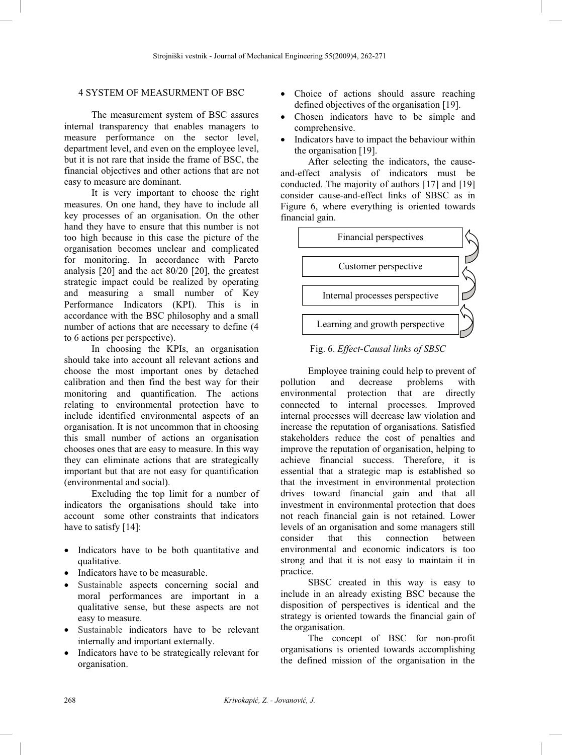## 4 SYSTEM OF MEASURMENT OF BSC

 The measurement system of BSC assures internal transparency that enables managers to measure performance on the sector level, department level, and even on the employee level, but it is not rare that inside the frame of BSC, the financial objectives and other actions that are not easy to measure are dominant.

It is very important to choose the right measures. On one hand, they have to include all key processes of an organisation. On the other hand they have to ensure that this number is not too high because in this case the picture of the organisation becomes unclear and complicated for monitoring. In accordance with Pareto analysis [20] and the act 80/20 [20], the greatest strategic impact could be realized by operating and measuring a small number of Key Performance Indicators (KPI). This is in accordance with the BSC philosophy and a small number of actions that are necessary to define (4 to 6 actions per perspective).

In choosing the KPIs, an organisation should take into account all relevant actions and choose the most important ones by detached calibration and then find the best way for their monitoring and quantification. The actions relating to environmental protection have to include identified environmental aspects of an organisation. It is not uncommon that in choosing this small number of actions an organisation chooses ones that are easy to measure. In this way they can eliminate actions that are strategically important but that are not easy for quantification (environmental and social).

Excluding the top limit for a number of indicators the organisations should take into account some other constraints that indicators have to satisfy [14]:

- Indicators have to be both quantitative and qualitative.
- Indicators have to be measurable.
- Sustainable aspects concerning social and moral performances are important in a qualitative sense, but these aspects are not easy to measure.
- Sustainable indicators have to be relevant internally and important externally.
- Indicators have to be strategically relevant for organisation.
- Choice of actions should assure reaching defined objectives of the organisation [19].
- Chosen indicators have to be simple and comprehensive.
- Indicators have to impact the behaviour within the organisation [19].

After selecting the indicators, the causeand-effect analysis of indicators must be conducted. The majority of authors [17] and [19] consider cause-and-effect links of SBSC as in Figure 6, where everything is oriented towards financial gain.



Fig. 6. *Effect-Causal links of SBSC* 

Employee training could help to prevent of pollution and decrease problems with environmental protection that are directly connected to internal processes. Improved internal processes will decrease law violation and increase the reputation of organisations. Satisfied stakeholders reduce the cost of penalties and improve the reputation of organisation, helping to achieve financial success. Therefore, it is essential that a strategic map is established so that the investment in environmental protection drives toward financial gain and that all investment in environmental protection that does not reach financial gain is not retained. Lower levels of an organisation and some managers still consider that this connection between environmental and economic indicators is too strong and that it is not easy to maintain it in practice.

SBSC created in this way is easy to include in an already existing BSC because the disposition of perspectives is identical and the strategy is oriented towards the financial gain of the organisation.

The concept of BSC for non-profit organisations is oriented towards accomplishing the defined mission of the organisation in the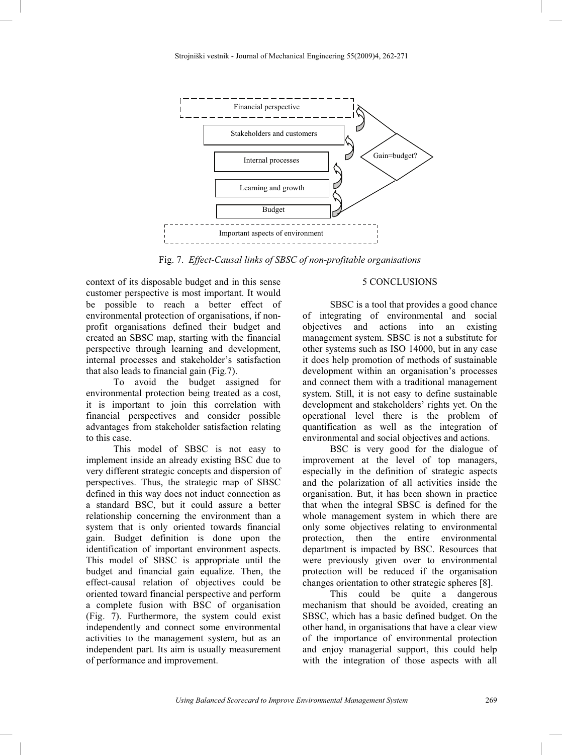

Fig. 7. *Effect-Causal links of SBSC of non-profitable organisations* 

context of its disposable budget and in this sense customer perspective is most important. It would be possible to reach a better effect of environmental protection of organisations, if nonprofit organisations defined their budget and created an SBSC map, starting with the financial perspective through learning and development, internal processes and stakeholder's satisfaction that also leads to financial gain (Fig.7).

To avoid the budget assigned for environmental protection being treated as a cost, it is important to join this correlation with financial perspectives and consider possible advantages from stakeholder satisfaction relating to this case.

This model of SBSC is not easy to implement inside an already existing BSC due to very different strategic concepts and dispersion of perspectives. Thus, the strategic map of SBSC defined in this way does not induct connection as a standard BSC, but it could assure a better relationship concerning the environment than a system that is only oriented towards financial gain. Budget definition is done upon the identification of important environment aspects. This model of SBSC is appropriate until the budget and financial gain equalize. Then, the effect-causal relation of objectives could be oriented toward financial perspective and perform a complete fusion with BSC of organisation (Fig. 7). Furthermore, the system could exist independently and connect some environmental activities to the management system, but as an independent part. Its aim is usually measurement of performance and improvement.

## 5 CONCLUSIONS

SBSC is a tool that provides a good chance of integrating of environmental and social objectives and actions into an existing management system. SBSC is not a substitute for other systems such as ISO 14000, but in any case it does help promotion of methods of sustainable development within an organisation's processes and connect them with a traditional management system. Still, it is not easy to define sustainable development and stakeholders' rights yet. On the operational level there is the problem of quantification as well as the integration of environmental and social objectives and actions.

BSC is very good for the dialogue of improvement at the level of top managers, especially in the definition of strategic aspects and the polarization of all activities inside the organisation. But, it has been shown in practice that when the integral SBSC is defined for the whole management system in which there are only some objectives relating to environmental protection, then the entire environmental department is impacted by BSC. Resources that were previously given over to environmental protection will be reduced if the organisation changes orientation to other strategic spheres [8].

This could be quite a dangerous mechanism that should be avoided, creating an SBSC, which has a basic defined budget. On the other hand, in organisations that have a clear view of the importance of environmental protection and enjoy managerial support, this could help with the integration of those aspects with all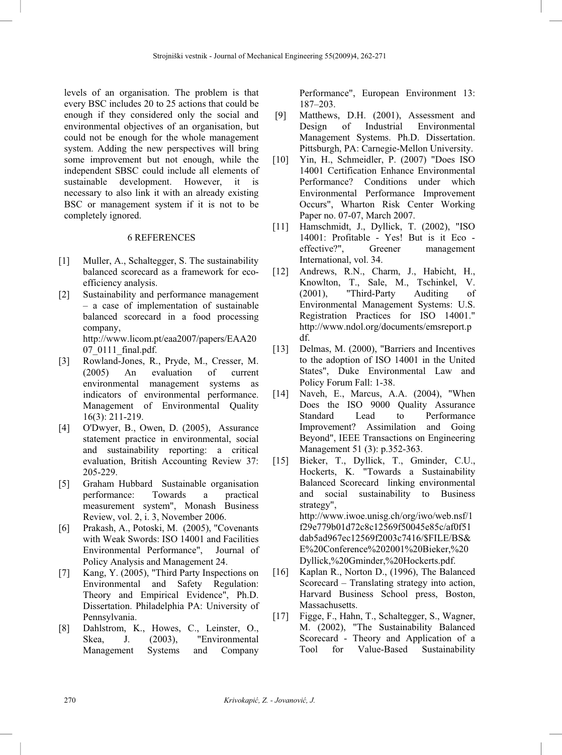levels of an organisation. The problem is that every BSC includes 20 to 25 actions that could be enough if they considered only the social and environmental objectives of an organisation, but could not be enough for the whole management system. Adding the new perspectives will bring some improvement but not enough, while the independent SBSC could include all elements of sustainable development. However, it is necessary to also link it with an already existing BSC or management system if it is not to be completely ignored.

#### 6 REFERENCES

- [1] Muller, A., Schaltegger, S. The sustainability balanced scorecard as a framework for ecoefficiency analysis.
- [2] Sustainability and performance management – a case of implementation of sustainable balanced scorecard in a food processing company, http://www.licom.pt/eaa2007/papers/EAA20 07\_0111\_final.pdf.
- [3] Rowland-Jones, R., Pryde, M., Cresser, M. (2005) An evaluation of current environmental management systems as indicators of environmental performance. Management of Environmental Quality 16(3): 211-219.
- [4] O'Dwyer, B., Owen, D. (2005), Assurance statement practice in environmental, social and sustainability reporting: a critical evaluation, British Accounting Review 37: 205-229.
- [5] Graham Hubbard Sustainable organisation performance: Towards a practical measurement system", Monash Business Review, vol. 2, i. 3, November 2006.
- [6] Prakash, A., Potoski, M. (2005), "Covenants with Weak Swords: ISO 14001 and Facilities Environmental Performance", Journal of Policy Analysis and Management 24.
- [7] Kang, Y. (2005), "Third Party Inspections on Environmental and Safety Regulation: Theory and Empirical Evidence", Ph.D. Dissertation. Philadelphia PA: University of Pennsylvania.
- [8] Dahlstrom, K., Howes, C., Leinster, O., Skea, J. (2003), "Environmental Management Systems and Company

Performance", European Environment 13: 187–203.

- [9] Matthews, D.H. (2001), Assessment and Design of Industrial Environmental Management Systems. Ph.D. Dissertation. Pittsburgh, PA: Carnegie-Mellon University.
- [10] Yin, H., Schmeidler, P. (2007) "Does ISO 14001 Certification Enhance Environmental Performance? Conditions under which Environmental Performance Improvement Occurs", Wharton Risk Center Working Paper no. 07-07, March 2007.
- [11] Hamschmidt, J., Dyllick, T. (2002), "ISO 14001: Profitable - Yes! But is it Eco effective?", Greener management International, vol. 34.
- [12] Andrews, R.N., Charm, J., Habicht, H., Knowlton, T., Sale, M., Tschinkel, V. (2001), "Third-Party Auditing of Environmental Management Systems: U.S. Registration Practices for ISO 14001." http://www.ndol.org/documents/emsreport.p df.
- [13] Delmas, M. (2000), "Barriers and Incentives to the adoption of ISO 14001 in the United States", Duke Environmental Law and Policy Forum Fall: 1-38.
- [14] Naveh, E., Marcus, A.A. (2004), "When Does the ISO 9000 Quality Assurance Standard Lead to Performance Improvement? Assimilation and Going Beyond", IEEE Transactions on Engineering Management 51 (3): p.352-363.
- [15] Bieker, T., Dyllick, T., Gminder, C.U., Hockerts, K. "Towards a Sustainability Balanced Scorecard linking environmental and social sustainability to Business strategy", http://www.iwoe.unisg.ch/org/iwo/web.nsf/1 f29e779b01d72c8c12569f50045e85c/af0f51

dab5ad967ec12569f2003c7416/\$FILE/BS& E%20Conference%202001%20Bieker,%20 Dyllick,%20Gminder,%20Hockerts.pdf.

- [16] Kaplan R., Norton D., (1996), The Balanced Scorecard – Translating strategy into action, Harvard Business School press, Boston, Massachusetts.
- [17] Figge, F., Hahn, T., Schaltegger, S., Wagner, M. (2002), "The Sustainability Balanced Scorecard - Theory and Application of a Tool for Value-Based Sustainability